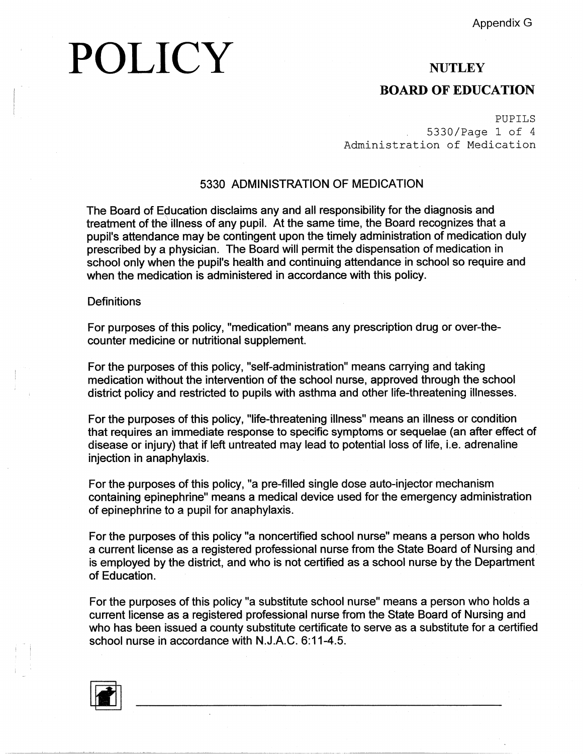# POLICY

### **NUTLEY BOARD OF EDUCATION**

PUPILS 5330/Page 1 of 4 Administration of Medication

#### 5330 ADMINISTRATION OF MEDICATION

The Board of Education disclaims any and all responsibility for the diagnosis and treatment of the' illness of any pupil. At the same time, the Board recognizes that a pupil's attendance may be contingent upon the timely administration of medication duly prescribed by a physician. The Board wili permit the dispensation of medication in school only when the pupil's health and continuing attendance in school so require and when the medication is administered in accordance with this policy.

#### **Definitions**

For purposes of this policy, "medication" means any prescription drug or over-thecounter medicine or nutritional supplement.

For the purposes of this policy, "self-administration" means carrying and taking medication without the intervention of the school nurse, approved through the school district policy and restricted to pupils with asthma and other life-threatening illnesses.

For the purposes of this policy, "life-threatening illness" means an illness or condition that requires an immediate response to specific symptoms or sequelae (an after effect of disease or injury) that if left untreated may lead to potential loss of life, i.e. adrenaline injection in anaphylaxis.

For the purposes of this policy, "a pre-filled single dose auto-injector mechanism containing epinephrine" means a medical device used for the emergency administration of epinephrine to a pupil for anaphylaxis.

For the purposes of this policy "a noncertified school nurse" means a person who holds a current license as a registered professional nurse from the State Board of Nursing and is employed by the district, and who is not certified as a school nurse by the Department of Education.

For the purposes of this policy "a substitute school nurse" means a person who holds a current license as a registered professional nurse from the State Board of Nursing and who has been issued a county substitute certificate to serve as a substitute for a certified school nurse in accordance with N.J.A.C. 6:11-4.5.

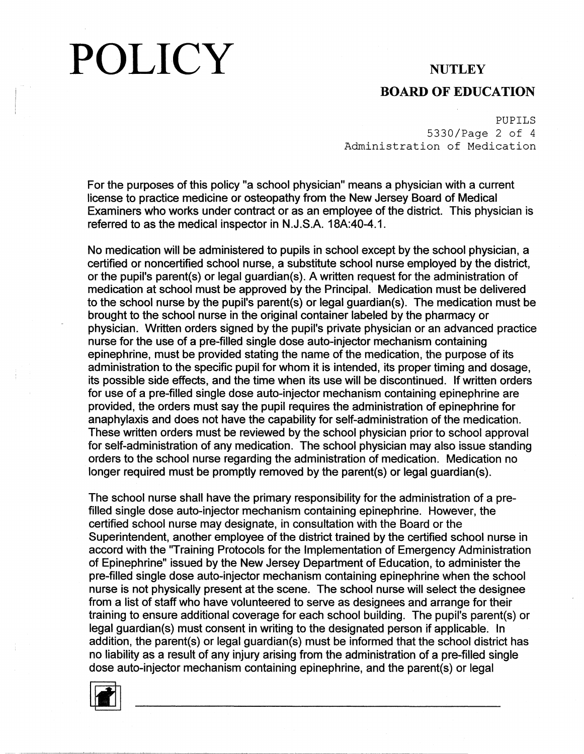# POLICY NUTLEY

#### **BOARD OF EDUCATION**

PUPILS 5330/Page 2 of 4 Administration of Medication

For the purposes of this policy "a school physician" means a physician with a current license to practice medicine or osteopathy from the New Jersey Board of Medical Examiners who works under contract or as an employee of the district. This physician is referred to as the medical inspector in N.J.S.A. 18A:40-4.1.

No medication will be administered to pupils in school except by the school physician, a certified or noncertified school nurse, a substitute school nurse employed by the district, or the pupil's parent(s) or legal guardian(s). A written request for the administration of medication at school must be approved by the Principal. Medication must be delivered to the school nurse by the pupil's parent(s) or legal guardian(s). The medication must be brought to the school nurse in the original container labeled by the pharmacy or physician. Written orders signed by the pupil's private physician or an advanced practice nurse for the use of a pre-filled single dose auto-injector mechanism containing epinephrine, must be provided stating the name of the medication, the purpose of its administration to the specific pupil for whom it is intended, its proper timing and dosage, its possible side effects, and the time when its use will be discontinued. If written orders for use of a pre-filled single dose auto-injector mechanism containing epinephrine are provided, the orders must say the pupil requires the administration of epinephrine for anaphylaxis and does not have the capability for self-administration of the medication. These written orders must be reviewed by the school physician prior to school approval for self-administration of any medication. The school physician may also issue standing orders to the school nurse regarding the administration of medication. Medication no longer required must be promptly removed by the parent(s) or legal guardian(s).

The school nurse shall have the primary responsibility for the administration of a prefilled single dose auto-injector mechanism containing epinephrine. However, the certified school nurse may designate, in consultation with the Board or the Superintendent, another employee of the district trained by the certified school nurse in accord with the "Training Protocols for the Implementation of Emergency Administration of Epinephrine" issued by the New Jersey Department of Education, to administer the pre-filled single dose auto-injector mechanism containing epinephrine when the school nurse is not physically present at the scene. The school nurse will select the designee from a list of staff who have volunteered to serve as designees and arrange for their training to ensure additional coverage for each school building. The pupil's parent(s) or legal guardian(s) must consent in writing to the designated person if applicable. In addition, the parent(s) or legal guardian(s) must be informed that the school district has no liability as a result of any injury arising from the administration of a pre-filled single dose auto-injector mechanism containing epinephrine, and the parent(s) or legal

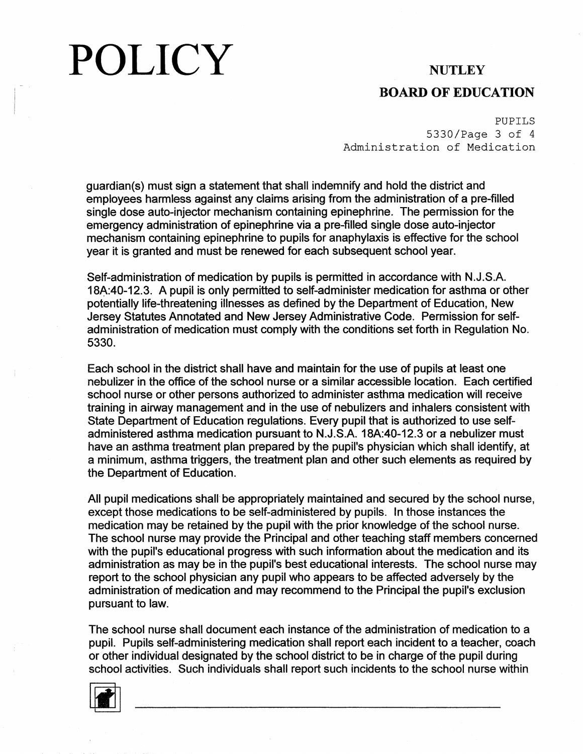# POLICY **NUTLEY**

### **BOARD OF EDUCATION**

PUPILS 5330/Page 3 of 4 Administration of Medication

guardian(s) must sign a statement that shall indemnify and hold the district and employees harmless against any claims arising from the administration of a pre-filled single dose auto-injector mechanism containing epinephrine. The permission for the emergency administration of epinephrine via a pre-filled single dose auto-injector mechanism containing epinephrine to pupils for anaphylaxis is effective for the school year it is granted and must be renewed for each subsequent school year.

Self-administration of medication by pupils is permitted in accordance with N.J.S.A. 18A:40-12.3. A pupil is only permitted to self-administer medication for asthma or other potentially life-threatening illnesses as defined by the Department of Education, New Jersey Statutes Annotated and New Jersey Administrative Code. Permission for selfadministration of medication must comply with the conditions set forth in Regulation No. 5330.

Each school in the district shall have and maintain for the use of pupils at least one nebulizer in the office of the school nurse or a similar accessible location. Each certified school nurse or other persons authorized to administer asthma medication will receive training in airway management and in the use of nebulizers and inhalers consistent with State Department of Education regulations. Every pupil that is authorized to use selfadministered asthma medication pursuant to N.J.S.A. 18A:40-12.3 or a nebulizer must have an asthma treatment plan prepared by the pupil's physician which shall identify, at a minimum, asthma triggers, the treatment plan and other such elements as required by the Department of Education.

All pupil medications shall· be appropriately maintained and secured by the school nurse, except those medications to be self-administered by pupils. In those instances the medication may be retained by the pupil with the prior knowledge of the school nurse. The school nurse may provide the Principal and other teaching staff members concerned with the pupil's educational progress with such information about the medication and its administration as may be in the pupil's best educational interests. The school nurse may report to the school physician any pupil who appears to be affected adversely by the administration of medication and may recommend to the Principal the pupil's exclusion pursuant to law.

The school nurse shall document each instance of the administration of medication to a pupil. Pupils self-administering medication shall report each incident to a teacher, coach or other individual designated by the school district to be in charge of the pupil during school activities. Such individuals shall report such incidents to the school nurse within